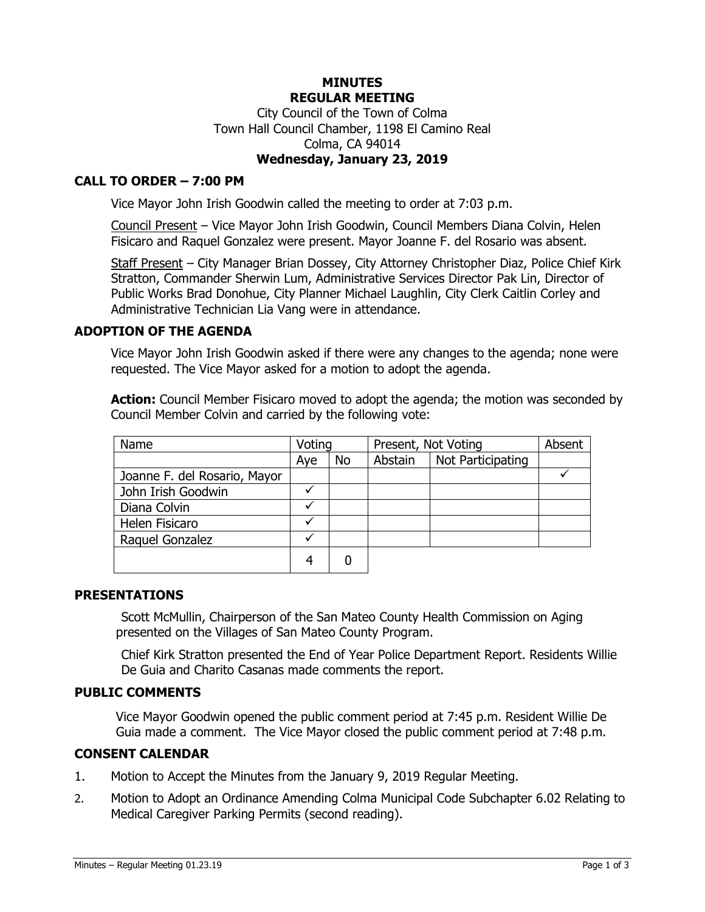### **MINUTES REGULAR MEETING** City Council of the Town of Colma Town Hall Council Chamber, 1198 El Camino Real Colma, CA 94014 **Wednesday, January 23, 2019**

### **CALL TO ORDER – 7:00 PM**

Vice Mayor John Irish Goodwin called the meeting to order at 7:03 p.m.

Council Present – Vice Mayor John Irish Goodwin, Council Members Diana Colvin, Helen Fisicaro and Raquel Gonzalez were present. Mayor Joanne F. del Rosario was absent.

Staff Present – City Manager Brian Dossey, City Attorney Christopher Diaz, Police Chief Kirk Stratton, Commander Sherwin Lum, Administrative Services Director Pak Lin, Director of Public Works Brad Donohue, City Planner Michael Laughlin, City Clerk Caitlin Corley and Administrative Technician Lia Vang were in attendance.

### **ADOPTION OF THE AGENDA**

Vice Mayor John Irish Goodwin asked if there were any changes to the agenda; none were requested. The Vice Mayor asked for a motion to adopt the agenda.

**Action:** Council Member Fisicaro moved to adopt the agenda; the motion was seconded by Council Member Colvin and carried by the following vote:

| Name                         | Voting |           | Present, Not Voting |                   | Absent |
|------------------------------|--------|-----------|---------------------|-------------------|--------|
|                              | Aye    | <b>No</b> | Abstain             | Not Participating |        |
| Joanne F. del Rosario, Mayor |        |           |                     |                   |        |
| John Irish Goodwin           |        |           |                     |                   |        |
| Diana Colvin                 |        |           |                     |                   |        |
| Helen Fisicaro               |        |           |                     |                   |        |
| Raquel Gonzalez              |        |           |                     |                   |        |
|                              |        |           |                     |                   |        |

#### **PRESENTATIONS**

Scott McMullin, Chairperson of the San Mateo County Health Commission on Aging presented on the Villages of San Mateo County Program.

Chief Kirk Stratton presented the End of Year Police Department Report. Residents Willie De Guia and Charito Casanas made comments the report.

#### **PUBLIC COMMENTS**

Vice Mayor Goodwin opened the public comment period at 7:45 p.m. Resident Willie De Guia made a comment. The Vice Mayor closed the public comment period at 7:48 p.m.

### **CONSENT CALENDAR**

- 1. Motion to Accept the Minutes from the January 9, 2019 Regular Meeting.
- 2. Motion to Adopt an Ordinance Amending Colma Municipal Code Subchapter 6.02 Relating to Medical Caregiver Parking Permits (second reading).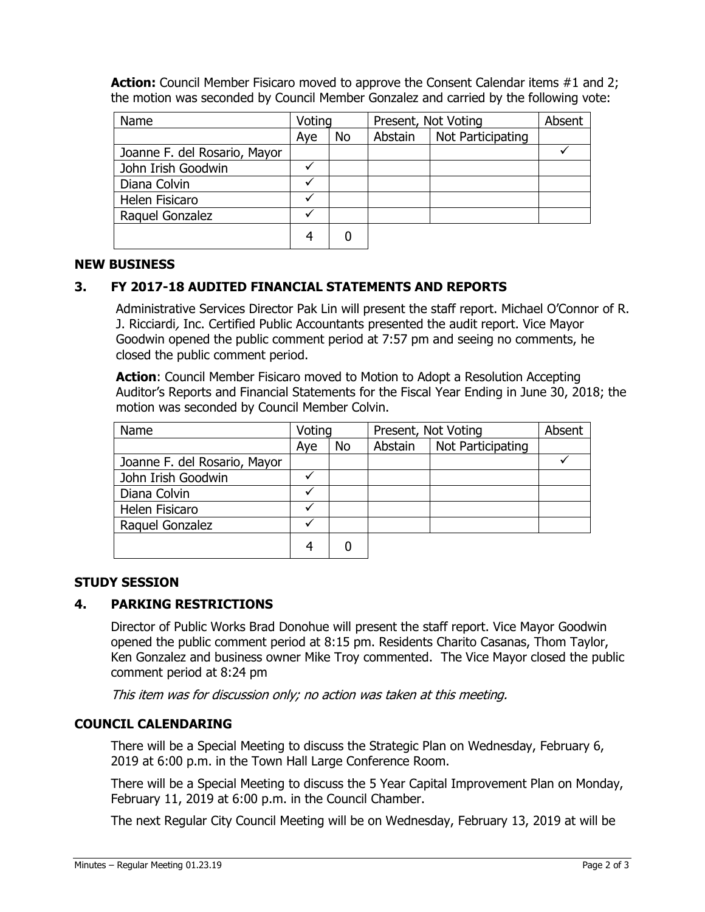**Action:** Council Member Fisicaro moved to approve the Consent Calendar items #1 and 2; the motion was seconded by Council Member Gonzalez and carried by the following vote:

| Name                         | Voting |           | Present, Not Voting |                   | Absent |
|------------------------------|--------|-----------|---------------------|-------------------|--------|
|                              | Aye    | <b>No</b> | Abstain             | Not Participating |        |
| Joanne F. del Rosario, Mayor |        |           |                     |                   |        |
| John Irish Goodwin           |        |           |                     |                   |        |
| Diana Colvin                 |        |           |                     |                   |        |
| Helen Fisicaro               |        |           |                     |                   |        |
| Raquel Gonzalez              |        |           |                     |                   |        |
|                              | 4      |           |                     |                   |        |

### **NEW BUSINESS**

# **3. FY 2017-18 AUDITED FINANCIAL STATEMENTS AND REPORTS**

Administrative Services Director Pak Lin will present the staff report. Michael O'Connor of R. J. Ricciardi, Inc. Certified Public Accountants presented the audit report. Vice Mayor Goodwin opened the public comment period at 7:57 pm and seeing no comments, he closed the public comment period.

**Action**: Council Member Fisicaro moved to Motion to Adopt a Resolution Accepting Auditor's Reports and Financial Statements for the Fiscal Year Ending in June 30, 2018; the motion was seconded by Council Member Colvin.

| Name                         | Voting |    | Present, Not Voting |                   | Absent |
|------------------------------|--------|----|---------------------|-------------------|--------|
|                              | Aye    | No | Abstain             | Not Participating |        |
| Joanne F. del Rosario, Mayor |        |    |                     |                   |        |
| John Irish Goodwin           |        |    |                     |                   |        |
| Diana Colvin                 |        |    |                     |                   |        |
| Helen Fisicaro               |        |    |                     |                   |        |
| Raquel Gonzalez              |        |    |                     |                   |        |
|                              |        |    |                     |                   |        |

### **STUDY SESSION**

### **4. PARKING RESTRICTIONS**

Director of Public Works Brad Donohue will present the staff report. Vice Mayor Goodwin opened the public comment period at 8:15 pm. Residents Charito Casanas, Thom Taylor, Ken Gonzalez and business owner Mike Troy commented. The Vice Mayor closed the public comment period at 8:24 pm

This item was for discussion only; no action was taken at this meeting.

#### **COUNCIL CALENDARING**

There will be a Special Meeting to discuss the Strategic Plan on Wednesday, February 6, 2019 at 6:00 p.m. in the Town Hall Large Conference Room.

There will be a Special Meeting to discuss the 5 Year Capital Improvement Plan on Monday, February 11, 2019 at 6:00 p.m. in the Council Chamber.

The next Regular City Council Meeting will be on Wednesday, February 13, 2019 at will be